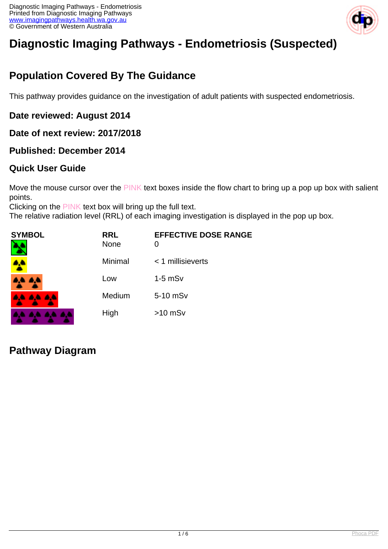

# **Diagnostic Imaging Pathways - Endometriosis (Suspected)**

## **Population Covered By The Guidance**

This pathway provides guidance on the investigation of adult patients with suspected endometriosis.

#### **Date reviewed: August 2014**

**Date of next review: 2017/2018**

#### **Published: December 2014**

### **Quick User Guide**

Move the mouse cursor over the PINK text boxes inside the flow chart to bring up a pop up box with salient points.

Clicking on the PINK text box will bring up the full text.

The relative radiation level (RRL) of each imaging investigation is displayed in the pop up box.

| SYMBOL          | <b>RRL</b><br><b>None</b> | <b>EFFECTIVE DOSE RANGE</b><br>0 |
|-----------------|---------------------------|----------------------------------|
|                 | Minimal                   | $<$ 1 millisieverts              |
| 4A 4A           | Low                       | $1-5$ mS $v$                     |
| <b>AA AA AA</b> | Medium                    | 5-10 mSv                         |
|                 | High                      | $>10$ mSv                        |

### **Pathway Diagram**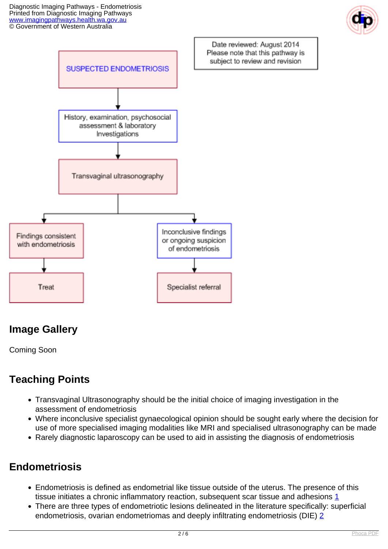



# **Image Gallery**

Coming Soon

# **Teaching Points**

- Transvaginal Ultrasonography should be the initial choice of imaging investigation in the assessment of endometriosis
- Where inconclusive specialist gynaecological opinion should be sought early where the decision for use of more specialised imaging modalities like MRI and specialised ultrasonography can be made
- Rarely diagnostic laparoscopy can be used to aid in assisting the diagnosis of endometriosis

# **Endometriosis**

- Endometriosis is defined as endometrial like tissue outside of the uterus. The presence of this tissue initiates a chronic inflammatory reaction, subsequent scar tissue and adhesions [1](index.php?option=com_content&view=article&id=381&tab=references#1)
- There are three types of endometriotic lesions delineated in the literature specifically: superficial endometriosis, ovarian endometriomas and deeply infiltrating endometriosis (DIE) [2](index.php?option=com_content&view=article&id=381&tab=references#2)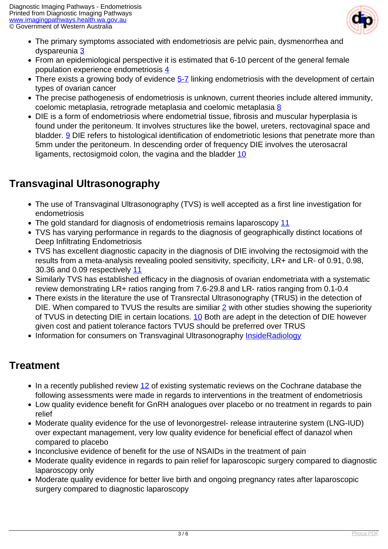

- The primary symptoms associated with endometriosis are pelvic pain, dysmenorrhea and dyspareunia [3](index.php?option=com_content&view=article&id=381&tab=references#3)
- From an epidemiological perspective it is estimated that 6-10 percent of the general female population experience endometriosis [4](index.php?option=com_content&view=article&id=381&tab=references#4)
- There exists a growing body of evidence [5-7](index.php?option=com_content&view=article&id=381&tab=references#5) linking endometriosis with the development of certain types of ovarian cancer
- The precise pathogenesis of endometriosis is unknown, current theories include altered immunity, coelomic metaplasia, retrograde metaplasia and coelomic metaplasia [8](index.php?option=com_content&view=article&id=381&tab=references#8)
- DIE is a form of endometriosis where endometrial tissue, fibrosis and muscular hyperplasia is found under the peritoneum. It involves structures like the bowel, ureters, rectovaginal space and bladder. **9** DIE refers to histological identification of endometriotic lesions that penetrate more than 5mm under the peritoneum. In descending order of frequency DIE involves the uterosacral ligaments, rectosigmoid colon, the vagina and the bladder [10](index.php?option=com_content&view=article&id=381&tab=references#10)

### **Transvaginal Ultrasonography**

- The use of Transvaginal Ultrasonography (TVS) is well accepted as a first line investigation for endometriosis
- The gold standard for diagnosis of endometriosis remains laparoscopy [11](index.php?option=com_content&view=article&id=381&tab=references#11)
- TVS has varying performance in regards to the diagnosis of geographically distinct locations of Deep Infiltrating Endometriosis
- TVS has excellent diagnostic capacity in the diagnosis of DIE involving the rectosigmoid with the results from a meta-analysis revealing pooled sensitivity, specificity, LR+ and LR- of 0.91, 0.98, 30.36 and 0.09 respectively [11](index.php?option=com_content&view=article&id=381&tab=references#11)
- Similarly TVS has established efficacy in the diagnosis of ovarian endometriata with a systematic review demonstrating LR+ ratios ranging from 7.6-29.8 and LR- ratios ranging from 0.1-0.4
- There exists in the literature the use of Transrectal Ultrasonography (TRUS) in the detection of DIE. When compared to TVUS the results are similiar  $2$  with other studies showing the superiority of TVUS in detecting DIE in certain locations. [10](index.php?option=com_content&view=article&id=381&tab=references#10) Both are adept in the detection of DIE however given cost and patient tolerance factors TVUS should be preferred over TRUS
- Information for consumers on Transvaginal Ultrasonography [InsideRadiology](http://insideradiology.com.au/pages/view.php?T_id=72#.U-yFCaPwA0k)

### **Treatment**

- In a recently published review [12](index.php?option=com_content&view=article&id=381&tab=references#12) of existing systematic reviews on the Cochrane database the following assessments were made in regards to interventions in the treatment of endometriosis
- Low quality evidence benefit for GnRH analogues over placebo or no treatment in regards to pain relief
- Moderate quality evidence for the use of levonorgestrel- release intrauterine system (LNG-IUD) over expectant management, very low quality evidence for beneficial effect of danazol when compared to placebo
- Inconclusive evidence of benefit for the use of NSAIDs in the treatment of pain
- Moderate quality evidence in regards to pain relief for laparoscopic surgery compared to diagnostic laparoscopy only
- Moderate quality evidence for better live birth and ongoing pregnancy rates after laparoscopic surgery compared to diagnostic laparoscopy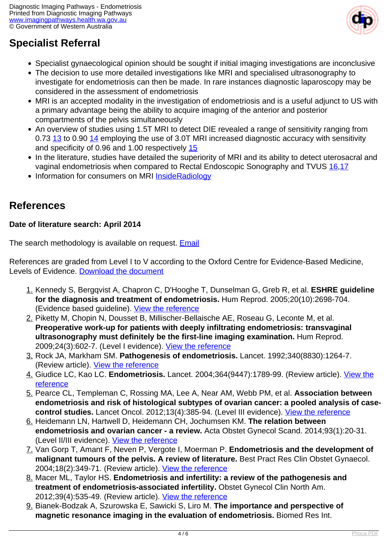

### **Specialist Referral**

- Specialist gynaecological opinion should be sought if initial imaging investigations are inconclusive
- The decision to use more detailed investigations like MRI and specialised ultrasonography to investigate for endometriosis can then be made. In rare instances diagnostic laparoscopy may be considered in the assessment of endometriosis
- MRI is an accepted modality in the investigation of endometriosis and is a useful adjunct to US with a primary advantage being the ability to acquire imaging of the anterior and posterior compartments of the pelvis simultaneously
- An overview of studies using 1.5T MRI to detect DIE revealed a range of sensitivity ranging from 0.73 [13](index.php?option=com_content&view=article&id=381&tab=references#13) to 0.90 [14](index.php?option=com_content&view=article&id=381&tab=references#14) employing the use of 3.0T MRI increased diagnostic accuracy with sensitivity and specificity of 0.96 and 1.00 respectively [15](index.php?option=com_content&view=article&id=381&tab=references#15)
- In the literature, studies have detailed the superiority of MRI and its ability to detect uterosacral and vaginal endometriosis when compared to Rectal Endoscopic Sonography and TVUS [16](index.php?option=com_content&view=article&id=381&tab=references#16),[17](index.php?option=com_content&view=article&id=381&tab=references#17)
- Information for consumers on MRI [InsideRadiology](http://insideradiology.com.au/pages/view.php?T_id=53#.U-yFTqPwA0k)

### **References**

#### **Date of literature search: April 2014**

The search methodology is available on request. **[Email](index.php/contact-us)** 

References are graded from Level I to V according to the Oxford Centre for Evidence-Based Medicine, Levels of Evidence. [Download the document](http://www.cebm.net/wp-content/uploads/2014/06/CEBM-Levels-of-Evidence-2.1.pdf)

- 1. Kennedy S, Bergqvist A, Chapron C, D'Hooghe T, Dunselman G, Greb R, et al. **ESHRE guideline for the diagnosis and treatment of endometriosis.** Hum Reprod. 2005;20(10):2698-704. (Evidence based guideline). [View the reference](http://www.ncbi.nlm.nih.gov/pubmed/15980014)
- 2. Piketty M, Chopin N, Dousset B, Millischer-Bellaische AE, Roseau G, Leconte M, et al. **Preoperative work-up for patients with deeply infiltrating endometriosis: transvaginal ultrasonography must definitely be the first-line imaging examination.** Hum Reprod. 2009;24(3):602-7. (Level I evidence). [View the reference](http://www.ncbi.nlm.nih.gov/pubmed/19095669)
- 3. Rock JA, Markham SM. **Pathogenesis of endometriosis.** Lancet. 1992;340(8830):1264-7. (Review article). [View the reference](http://www.ncbi.nlm.nih.gov/pubmed/1359329)
- 4. Giudice LC, Kao LC. **Endometriosis.** Lancet. 2004;364(9447):1789-99. (Review article). [View the](http://www.ncbi.nlm.nih.gov/pubmed/15541453) [reference](http://www.ncbi.nlm.nih.gov/pubmed/15541453)
- 5. Pearce CL, Templeman C, Rossing MA, Lee A, Near AM, Webb PM, et al. **Association between endometriosis and risk of histological subtypes of ovarian cancer: a pooled analysis of casecontrol studies.** Lancet Oncol. 2012;13(4):385-94. (Level III evidence). [View the reference](http://www.ncbi.nlm.nih.gov/pubmed/22361336)
- 6. Heidemann LN, Hartwell D, Heidemann CH, Jochumsen KM. **The relation between endometriosis and ovarian cancer - a review.** Acta Obstet Gynecol Scand. 2014;93(1):20-31. (Level II/III evidence). [View the reference](http://www.ncbi.nlm.nih.gov/pubmed/24011403)
- 7. Van Gorp T, Amant F, Neven P, Vergote I, Moerman P. **Endometriosis and the development of malignant tumours of the pelvis. A review of literature.** Best Pract Res Clin Obstet Gynaecol. 2004;18(2):349-71. (Review article). [View the reference](http://www.ncbi.nlm.nih.gov/pubmed/15157647)
- 8. Macer ML, Taylor HS. **Endometriosis and infertility: a review of the pathogenesis and treatment of endometriosis-associated infertility.** Obstet Gynecol Clin North Am. 2012;39(4):535-49. (Review article). [View the reference](http://www.ncbi.nlm.nih.gov/pubmed/23182559)
- 9. Bianek-Bodzak A, Szurowska E, Sawicki S, Liro M. **The importance and perspective of magnetic resonance imaging in the evaluation of endometriosis.** Biomed Res Int.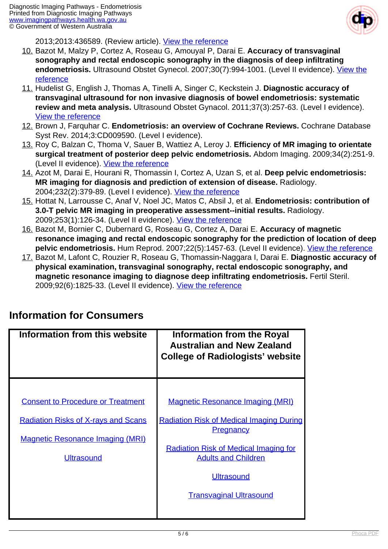

2013;2013:436589. (Review article). [View the reference](http://www.ncbi.nlm.nih.gov/pubmed/24350271)

- 10. Bazot M, Malzy P, Cortez A, Roseau G, Amouyal P, Darai E. **Accuracy of transvaginal sonography and rectal endoscopic sonography in the diagnosis of deep infiltrating endometriosis.** Ultrasound Obstet Gynecol. 2007;30(7):994-1001. (Level II evidence). [View the](http://www.ncbi.nlm.nih.gov/pubmed/17992706) [reference](http://www.ncbi.nlm.nih.gov/pubmed/17992706)
- 11. Hudelist G, English J, Thomas A, Tinelli A, Singer C, Keckstein J. **Diagnostic accuracy of transvaginal ultrasound for non invasive diagnosis of bowel endometriosis: systematic review and meta analysis.** Ultrasound Obstet Gynacol. 2011;37(3):257-63. (Level I evidence). [View the reference](http://www.ncbi.nlm.nih.gov/pubmed/20954166)
- 12. Brown J, Farquhar C. **Endometriosis: an overview of Cochrane Reviews.** Cochrane Database Syst Rev. 2014;3:CD009590. (Level I evidence).
- 13. Roy C, Balzan C, Thoma V, Sauer B, Wattiez A, Leroy J. **Efficiency of MR imaging to orientate surgical treatment of posterior deep pelvic endometriosis.** Abdom Imaging. 2009;34(2):251-9. (Level II evidence). [View the reference](http://www.ncbi.nlm.nih.gov/pubmed/18235982)
- 14. Azot M, Darai E, Hourani R, Thomassin I, Cortez A, Uzan S, et al. **Deep pelvic endometriosis: MR imaging for diagnosis and prediction of extension of disease.** Radiology. 2004;232(2):379-89. (Level I evidence). [View the reference](http://www.ncbi.nlm.nih.gov/pubmed/15205479)
- 15. Hottat N, Larrousse C, Anaf V, Noel JC, Matos C, Absil J, et al. **Endometriosis: contribution of 3.0-T pelvic MR imaging in preoperative assessment--initial results.** Radiology. 2009;253(1):126-34. (Level II evidence). [View the reference](http://www.ncbi.nlm.nih.gov/pubmed/19584256)
- 16. Bazot M, Bornier C, Dubernard G, Roseau G, Cortez A, Darai E. **Accuracy of magnetic resonance imaging and rectal endoscopic sonography for the prediction of location of deep pelvic endometriosis.** Hum Reprod. 2007;22(5):1457-63. (Level II evidence). [View the reference](http://www.ncbi.nlm.nih.gov/pubmed/17303630)
- 17. Bazot M, Lafont C, Rouzier R, Roseau G, Thomassin-Naggara I, Darai E. **Diagnostic accuracy of physical examination, transvaginal sonography, rectal endoscopic sonography, and magnetic resonance imaging to diagnose deep infiltrating endometriosis.** Fertil Steril. 2009;92(6):1825-33. (Level II evidence). [View the reference](http://www.ncbi.nlm.nih.gov/pubmed/19019357)

### **Information for Consumers**

| Information from this website                                                         | <b>Information from the Royal</b><br><b>Australian and New Zealand</b><br><b>College of Radiologists' website</b> |
|---------------------------------------------------------------------------------------|-------------------------------------------------------------------------------------------------------------------|
|                                                                                       |                                                                                                                   |
| <b>Consent to Procedure or Treatment</b>                                              | <b>Magnetic Resonance Imaging (MRI)</b>                                                                           |
| <b>Radiation Risks of X-rays and Scans</b><br><b>Magnetic Resonance Imaging (MRI)</b> | <b>Radiation Risk of Medical Imaging During</b><br><b>Pregnancy</b>                                               |
|                                                                                       | <b>Radiation Risk of Medical Imaging for</b>                                                                      |
| <b>Ultrasound</b>                                                                     | <b>Adults and Children</b>                                                                                        |
|                                                                                       | <b>Ultrasound</b>                                                                                                 |
|                                                                                       | <b>Transvaginal Ultrasound</b>                                                                                    |
|                                                                                       |                                                                                                                   |